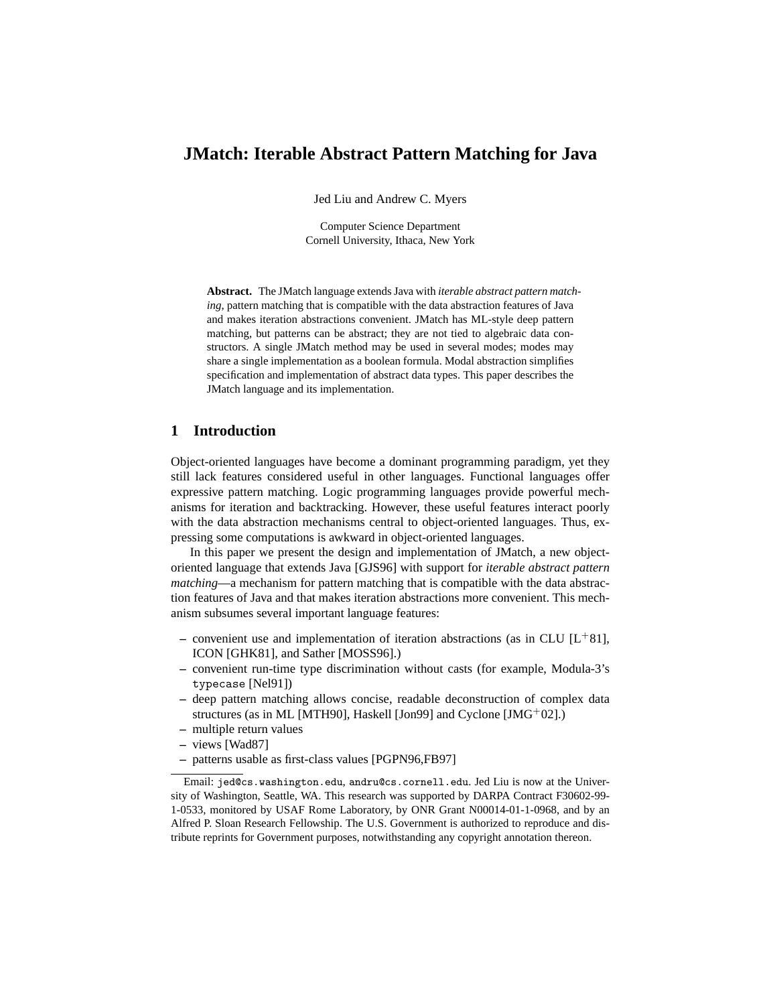# **JMatch: Iterable Abstract Pattern Matching for Java**

Jed Liu and Andrew C. Myers

Computer Science Department Cornell University, Ithaca, New York

**Abstract.** The JMatch language extends Java with *iterable abstract pattern matching*, pattern matching that is compatible with the data abstraction features of Java and makes iteration abstractions convenient. JMatch has ML-style deep pattern matching, but patterns can be abstract; they are not tied to algebraic data constructors. A single JMatch method may be used in several modes; modes may share a single implementation as a boolean formula. Modal abstraction simplifies specification and implementation of abstract data types. This paper describes the JMatch language and its implementation.

## **1 Introduction**

Object-oriented languages have become a dominant programming paradigm, yet they still lack features considered useful in other languages. Functional languages offer expressive pattern matching. Logic programming languages provide powerful mechanisms for iteration and backtracking. However, these useful features interact poorly with the data abstraction mechanisms central to object-oriented languages. Thus, expressing some computations is awkward in object-oriented languages.

In this paper we present the design and implementation of JMatch, a new objectoriented language that extends Java [GJS96] with support for *iterable abstract pattern matching*—a mechanism for pattern matching that is compatible with the data abstraction features of Java and that makes iteration abstractions more convenient. This mechanism subsumes several important language features:

- **–** convenient use and implementation of iteration abstractions (as in CLU [L<sup>+</sup>81], ICON [GHK81], and Sather [MOSS96].)
- **–** convenient run-time type discrimination without casts (for example, Modula-3's typecase [Nel91])
- **–** deep pattern matching allows concise, readable deconstruction of complex data structures (as in ML [MTH90], Haskell [Jon99] and Cyclone [JMG<sup>+</sup>02].)
- **–** multiple return values
- **–** views [Wad87]
- **–** patterns usable as first-class values [PGPN96,FB97]

Email: jed@cs.washington.edu, andru@cs.cornell.edu. Jed Liu is now at the University of Washington, Seattle, WA. This research was supported by DARPA Contract F30602-99- 1-0533, monitored by USAF Rome Laboratory, by ONR Grant N00014-01-1-0968, and by an Alfred P. Sloan Research Fellowship. The U.S. Government is authorized to reproduce and distribute reprints for Government purposes, notwithstanding any copyright annotation thereon.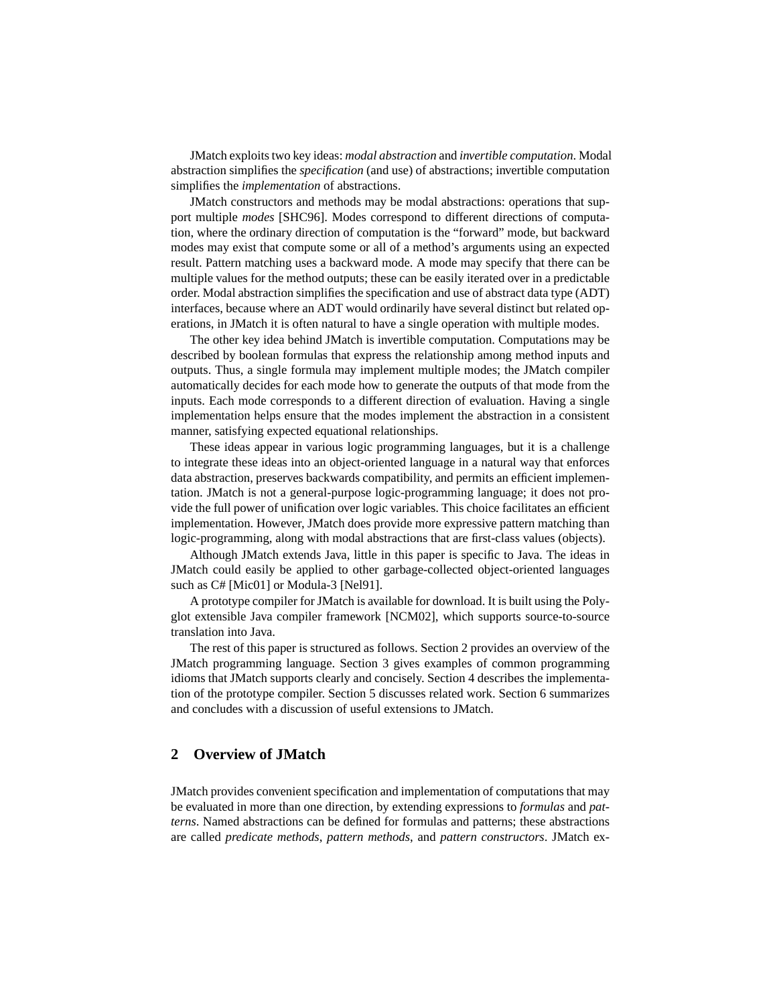JMatch exploits two key ideas: *modal abstraction* and *invertible computation*. Modal abstraction simplifies the *specification* (and use) of abstractions; invertible computation simplifies the *implementation* of abstractions.

JMatch constructors and methods may be modal abstractions: operations that support multiple *modes* [SHC96]. Modes correspond to different directions of computation, where the ordinary direction of computation is the "forward" mode, but backward modes may exist that compute some or all of a method's arguments using an expected result. Pattern matching uses a backward mode. A mode may specify that there can be multiple values for the method outputs; these can be easily iterated over in a predictable order. Modal abstraction simplifies the specification and use of abstract data type (ADT) interfaces, because where an ADT would ordinarily have several distinct but related operations, in JMatch it is often natural to have a single operation with multiple modes.

The other key idea behind JMatch is invertible computation. Computations may be described by boolean formulas that express the relationship among method inputs and outputs. Thus, a single formula may implement multiple modes; the JMatch compiler automatically decides for each mode how to generate the outputs of that mode from the inputs. Each mode corresponds to a different direction of evaluation. Having a single implementation helps ensure that the modes implement the abstraction in a consistent manner, satisfying expected equational relationships.

These ideas appear in various logic programming languages, but it is a challenge to integrate these ideas into an object-oriented language in a natural way that enforces data abstraction, preserves backwards compatibility, and permits an efficient implementation. JMatch is not a general-purpose logic-programming language; it does not provide the full power of unification over logic variables. This choice facilitates an efficient implementation. However, JMatch does provide more expressive pattern matching than logic-programming, along with modal abstractions that are first-class values (objects).

Although JMatch extends Java, little in this paper is specific to Java. The ideas in JMatch could easily be applied to other garbage-collected object-oriented languages such as C# [Mic01] or Modula-3 [Nel91].

A prototype compiler for JMatch is available for download. It is built using the Polyglot extensible Java compiler framework [NCM02], which supports source-to-source translation into Java.

The rest of this paper is structured as follows. Section 2 provides an overview of the JMatch programming language. Section 3 gives examples of common programming idioms that JMatch supports clearly and concisely. Section 4 describes the implementation of the prototype compiler. Section 5 discusses related work. Section 6 summarizes and concludes with a discussion of useful extensions to JMatch.

# **2 Overview of JMatch**

JMatch provides convenient specification and implementation of computations that may be evaluated in more than one direction, by extending expressions to *formulas* and *patterns*. Named abstractions can be defined for formulas and patterns; these abstractions are called *predicate methods*, *pattern methods*, and *pattern constructors*. JMatch ex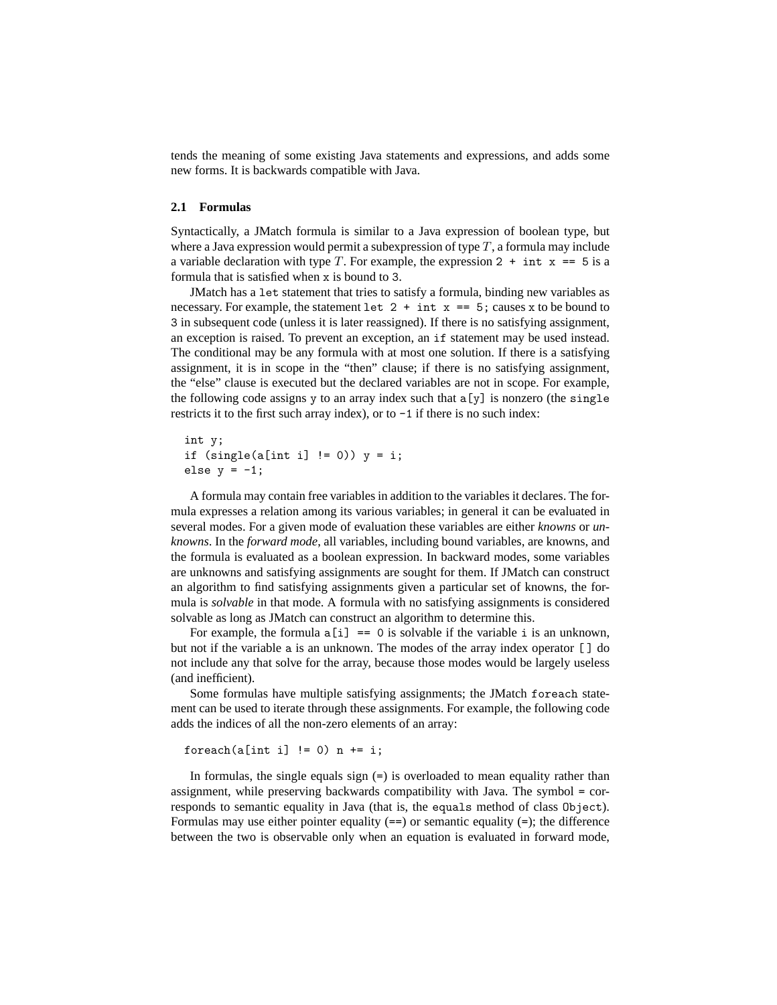tends the meaning of some existing Java statements and expressions, and adds some new forms. It is backwards compatible with Java.

### **2.1 Formulas**

Syntactically, a JMatch formula is similar to a Java expression of boolean type, but where a Java expression would permit a subexpression of type  $T$ , a formula may include a variable declaration with type T. For example, the expression  $2 + \text{int } x == 5$  is a formula that is satisfied when x is bound to 3.

JMatch has a let statement that tries to satisfy a formula, binding new variables as necessary. For example, the statement let  $2 + int x == 5$ ; causes x to be bound to 3 in subsequent code (unless it is later reassigned). If there is no satisfying assignment, an exception is raised. To prevent an exception, an if statement may be used instead. The conditional may be any formula with at most one solution. If there is a satisfying assignment, it is in scope in the "then" clause; if there is no satisfying assignment, the "else" clause is executed but the declared variables are not in scope. For example, the following code assigns y to an array index such that  $\alpha[y]$  is nonzero (the single restricts it to the first such array index), or to  $-1$  if there is no such index:

```
int y;
if (single(a[int i] != 0)) y = i;
else y = -1;
```
A formula may contain free variables in addition to the variables it declares. The formula expresses a relation among its various variables; in general it can be evaluated in several modes. For a given mode of evaluation these variables are either *knowns* or *unknowns*. In the *forward mode*, all variables, including bound variables, are knowns, and the formula is evaluated as a boolean expression. In backward modes, some variables are unknowns and satisfying assignments are sought for them. If JMatch can construct an algorithm to find satisfying assignments given a particular set of knowns, the formula is *solvable* in that mode. A formula with no satisfying assignments is considered solvable as long as JMatch can construct an algorithm to determine this.

For example, the formula  $a[i] == 0$  is solvable if the variable i is an unknown, but not if the variable a is an unknown. The modes of the array index operator [ ] do not include any that solve for the array, because those modes would be largely useless (and inefficient).

Some formulas have multiple satisfying assignments; the JMatch foreach statement can be used to iterate through these assignments. For example, the following code adds the indices of all the non-zero elements of an array:

foreach(a[int i]  $!= 0$ ) n  $+= i$ ;

In formulas, the single equals sign  $(=)$  is overloaded to mean equality rather than assignment, while preserving backwards compatibility with Java. The symbol = corresponds to semantic equality in Java (that is, the equals method of class Object). Formulas may use either pointer equality  $(==)$  or semantic equality  $(=)$ ; the difference between the two is observable only when an equation is evaluated in forward mode,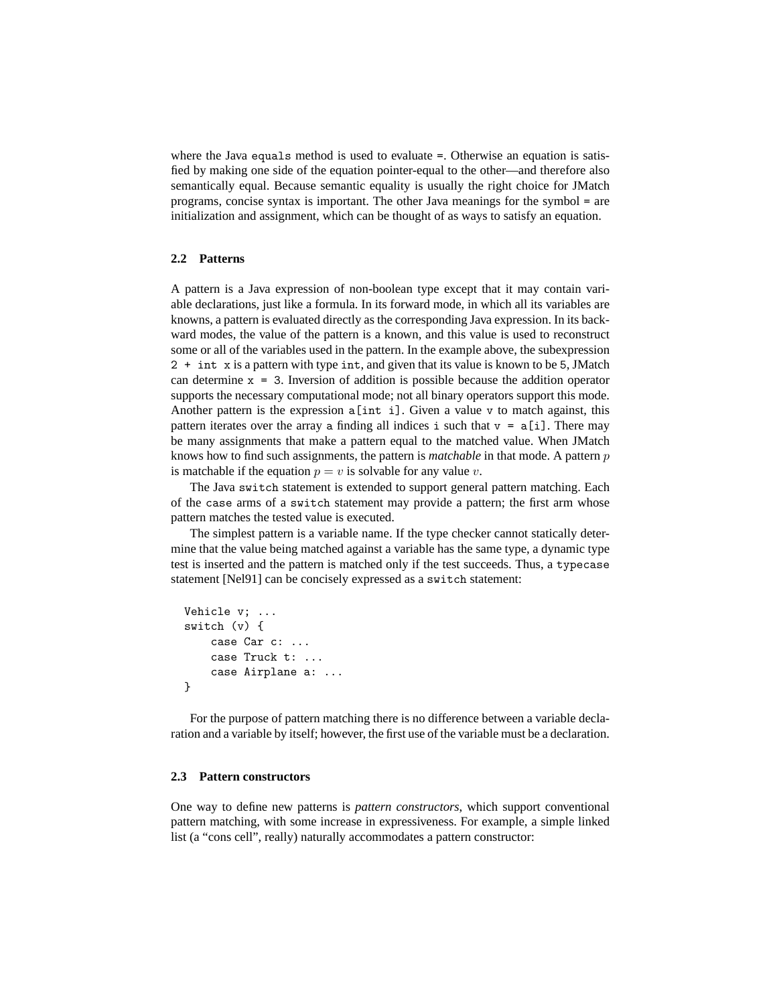where the Java equals method is used to evaluate =. Otherwise an equation is satisfied by making one side of the equation pointer-equal to the other—and therefore also semantically equal. Because semantic equality is usually the right choice for JMatch programs, concise syntax is important. The other Java meanings for the symbol = are initialization and assignment, which can be thought of as ways to satisfy an equation.

### **2.2 Patterns**

A pattern is a Java expression of non-boolean type except that it may contain variable declarations, just like a formula. In its forward mode, in which all its variables are knowns, a pattern is evaluated directly as the corresponding Java expression. In its backward modes, the value of the pattern is a known, and this value is used to reconstruct some or all of the variables used in the pattern. In the example above, the subexpression  $2 + \text{int } x$  is a pattern with type int, and given that its value is known to be 5, JMatch can determine  $x = 3$ . Inversion of addition is possible because the addition operator supports the necessary computational mode; not all binary operators support this mode. Another pattern is the expression  $a$ [int i]. Given a value v to match against, this pattern iterates over the array a finding all indices i such that  $v = a[i]$ . There may be many assignments that make a pattern equal to the matched value. When JMatch knows how to find such assignments, the pattern is *matchable* in that mode. A pattern p is matchable if the equation  $p = v$  is solvable for any value v.

The Java switch statement is extended to support general pattern matching. Each of the case arms of a switch statement may provide a pattern; the first arm whose pattern matches the tested value is executed.

The simplest pattern is a variable name. If the type checker cannot statically determine that the value being matched against a variable has the same type, a dynamic type test is inserted and the pattern is matched only if the test succeeds. Thus, a typecase statement [Nel91] can be concisely expressed as a switch statement:

```
Vehicle v; ...
switch (v) {
    case Car c: ...
    case Truck t: ...
    case Airplane a: ...
}
```
For the purpose of pattern matching there is no difference between a variable declaration and a variable by itself; however, the first use of the variable must be a declaration.

#### **2.3 Pattern constructors**

One way to define new patterns is *pattern constructors*, which support conventional pattern matching, with some increase in expressiveness. For example, a simple linked list (a "cons cell", really) naturally accommodates a pattern constructor: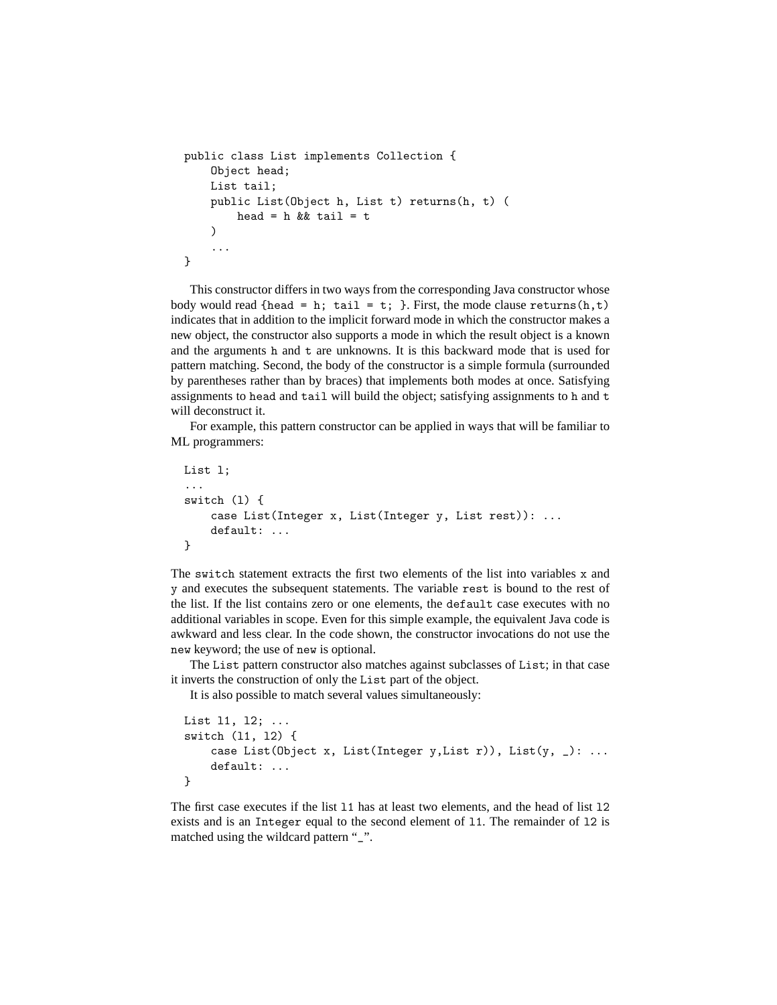```
public class List implements Collection {
    Object head;
    List tail;
    public List(Object h, List t) returns(h, t) (
        head = h & tail = t
    )
    ...
}
```
This constructor differs in two ways from the corresponding Java constructor whose body would read {head = h; tail = t; }. First, the mode clause returns(h,t) indicates that in addition to the implicit forward mode in which the constructor makes a new object, the constructor also supports a mode in which the result object is a known and the arguments h and t are unknowns. It is this backward mode that is used for pattern matching. Second, the body of the constructor is a simple formula (surrounded by parentheses rather than by braces) that implements both modes at once. Satisfying assignments to head and tail will build the object; satisfying assignments to h and t will deconstruct it.

For example, this pattern constructor can be applied in ways that will be familiar to ML programmers:

```
List l;
...
switch (l) {
    case List(Integer x, List(Integer y, List rest)): ...
    default: ...
}
```
The switch statement extracts the first two elements of the list into variables x and y and executes the subsequent statements. The variable rest is bound to the rest of the list. If the list contains zero or one elements, the default case executes with no additional variables in scope. Even for this simple example, the equivalent Java code is awkward and less clear. In the code shown, the constructor invocations do not use the new keyword; the use of new is optional.

The List pattern constructor also matches against subclasses of List; in that case it inverts the construction of only the List part of the object.

It is also possible to match several values simultaneously:

```
List l1, l2; ...
switch (l1, l2) {
    case List(Object x, List(Integer y, List r)), List(y, _): ...
    default: ...
}
```
The first case executes if the list l1 has at least two elements, and the head of list l2 exists and is an Integer equal to the second element of l1. The remainder of l2 is matched using the wildcard pattern "\_".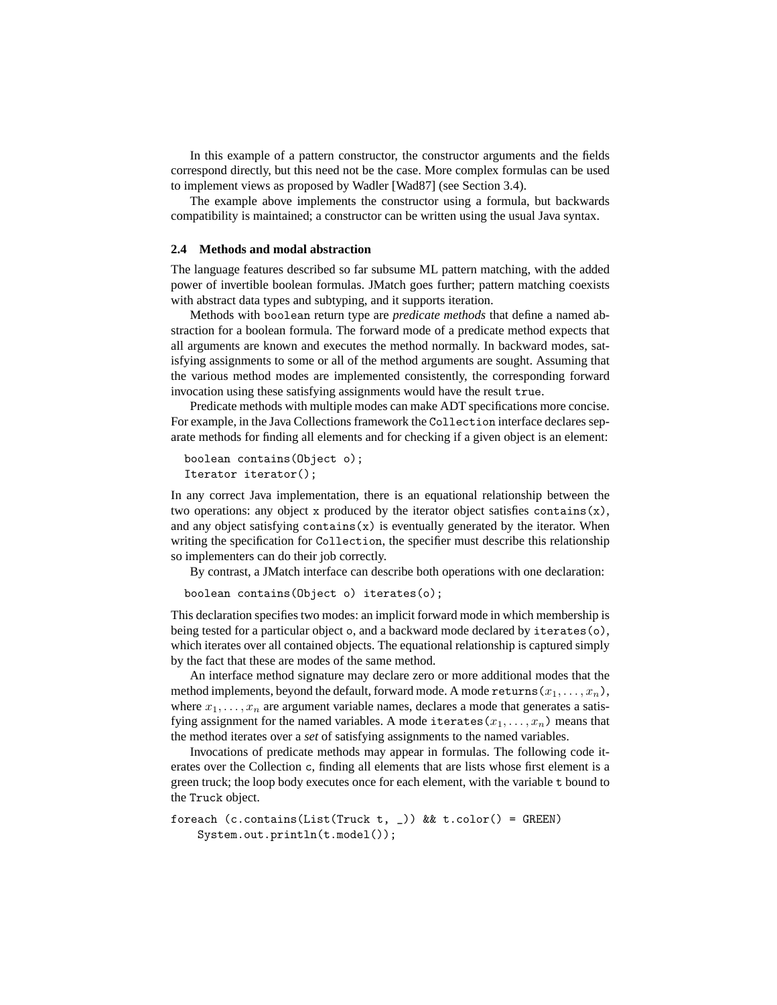In this example of a pattern constructor, the constructor arguments and the fields correspond directly, but this need not be the case. More complex formulas can be used to implement views as proposed by Wadler [Wad87] (see Section 3.4).

The example above implements the constructor using a formula, but backwards compatibility is maintained; a constructor can be written using the usual Java syntax.

### **2.4 Methods and modal abstraction**

The language features described so far subsume ML pattern matching, with the added power of invertible boolean formulas. JMatch goes further; pattern matching coexists with abstract data types and subtyping, and it supports iteration.

Methods with boolean return type are *predicate methods* that define a named abstraction for a boolean formula. The forward mode of a predicate method expects that all arguments are known and executes the method normally. In backward modes, satisfying assignments to some or all of the method arguments are sought. Assuming that the various method modes are implemented consistently, the corresponding forward invocation using these satisfying assignments would have the result true.

Predicate methods with multiple modes can make ADT specifications more concise. For example, in the Java Collections framework the Collection interface declares separate methods for finding all elements and for checking if a given object is an element:

```
boolean contains(Object o);
Iterator iterator();
```
In any correct Java implementation, there is an equational relationship between the two operations: any object x produced by the iterator object satisfies contains $(x)$ , and any object satisfying contains $(x)$  is eventually generated by the iterator. When writing the specification for Collection, the specifier must describe this relationship so implementers can do their job correctly.

By contrast, a JMatch interface can describe both operations with one declaration:

boolean contains(Object o) iterates(o);

This declaration specifies two modes: an implicit forward mode in which membership is being tested for a particular object o, and a backward mode declared by iterates(o), which iterates over all contained objects. The equational relationship is captured simply by the fact that these are modes of the same method.

An interface method signature may declare zero or more additional modes that the method implements, beyond the default, forward mode. A mode returns  $(x_1, \ldots, x_n)$ , where  $x_1, \ldots, x_n$  are argument variable names, declares a mode that generates a satisfying assignment for the named variables. A mode iterates  $(x_1, \ldots, x_n)$  means that the method iterates over a *set* of satisfying assignments to the named variables.

Invocations of predicate methods may appear in formulas. The following code iterates over the Collection c, finding all elements that are lists whose first element is a green truck; the loop body executes once for each element, with the variable t bound to the Truck object.

```
foreach (c.\text{contains}(\text{List}(\text{Truck } t, \_)) & t.color() = \text{GREEN})System.out.println(t.model());
```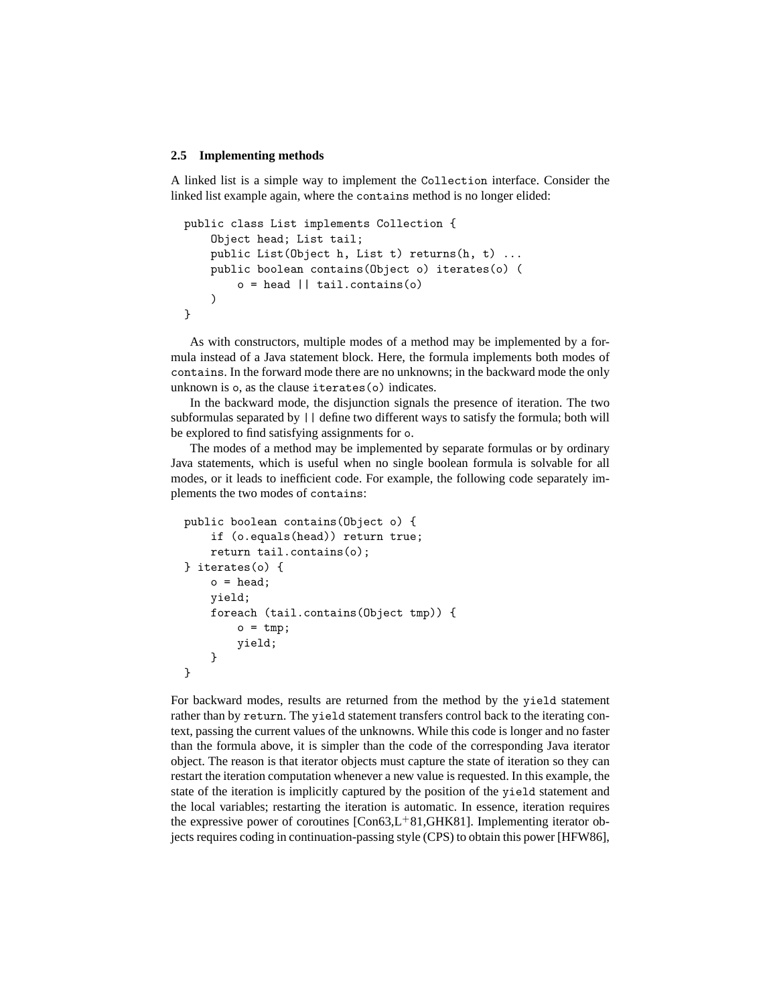#### **2.5 Implementing methods**

A linked list is a simple way to implement the Collection interface. Consider the linked list example again, where the contains method is no longer elided:

```
public class List implements Collection {
    Object head; List tail;
    public List(Object h, List t) returns(h, t) ...
    public boolean contains(Object o) iterates(o) (
        o = head || tail.contrib(s))
}
```
As with constructors, multiple modes of a method may be implemented by a formula instead of a Java statement block. Here, the formula implements both modes of contains. In the forward mode there are no unknowns; in the backward mode the only unknown is o, as the clause iterates(o) indicates.

In the backward mode, the disjunction signals the presence of iteration. The two subformulas separated by  $|| \cdot ||$  define two different ways to satisfy the formula; both will be explored to find satisfying assignments for o.

The modes of a method may be implemented by separate formulas or by ordinary Java statements, which is useful when no single boolean formula is solvable for all modes, or it leads to inefficient code. For example, the following code separately implements the two modes of contains:

```
public boolean contains(Object o) {
    if (o.equals(head)) return true;
    return tail.contains(o);
} iterates(o) {
    o = head;yield;
    foreach (tail.contains(Object tmp)) {
        o = \text{tmp};yield;
    }
}
```
For backward modes, results are returned from the method by the yield statement rather than by return. The yield statement transfers control back to the iterating context, passing the current values of the unknowns. While this code is longer and no faster than the formula above, it is simpler than the code of the corresponding Java iterator object. The reason is that iterator objects must capture the state of iteration so they can restart the iteration computation whenever a new value is requested. In this example, the state of the iteration is implicitly captured by the position of the yield statement and the local variables; restarting the iteration is automatic. In essence, iteration requires the expressive power of coroutines  $[Con63,L+81,GHK81]$ . Implementing iterator objects requires coding in continuation-passing style (CPS) to obtain this power [HFW86],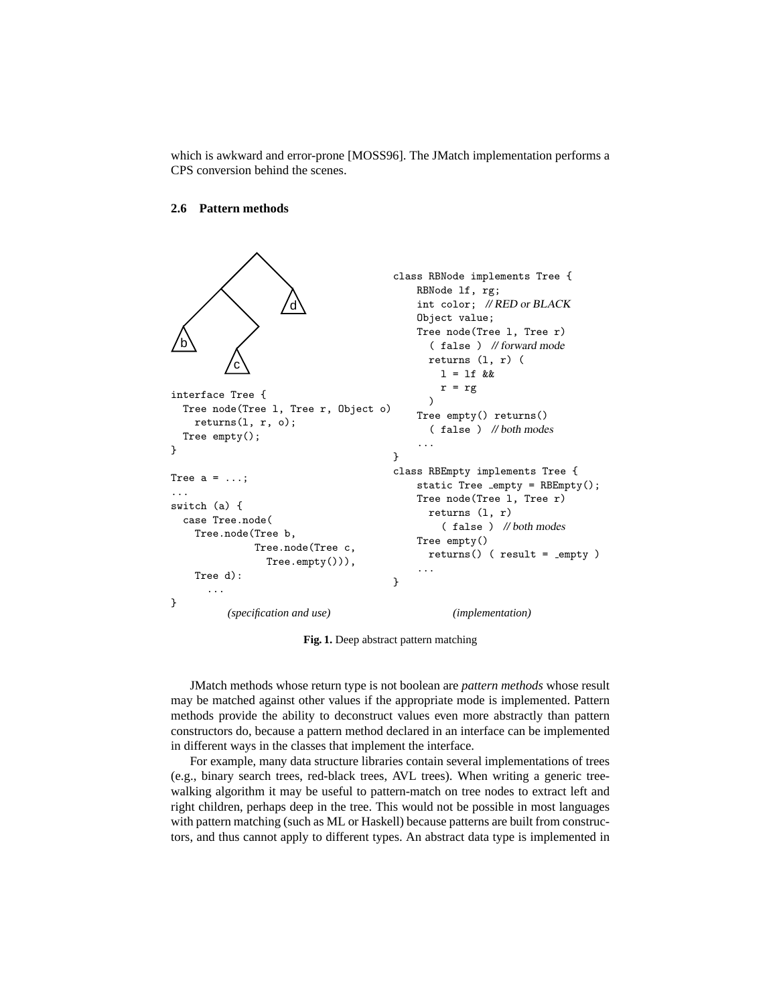which is awkward and error-prone [MOSS96]. The JMatch implementation performs a CPS conversion behind the scenes.

## **2.6 Pattern methods**

```
d
           c
 b
interface Tree {
  Tree node(Tree l, Tree r, Object o)
    returns(l, r, o);
  Tree empty();
}
Tree a = \ldots;...
switch (a) {
  case Tree.node(
    Tree.node(Tree b,
              Tree.node(Tree c,
                Tree.empty())),
    Tree d):
      ...
}
                                       class RBNode implements Tree {
                                          RBNode lf, rg;
                                           int color; // RED or BLACK
                                           Object value;
                                           Tree node(Tree l, Tree r)
                                             ( false ) // forward mode
                                             returns (l, r) (
                                               1 = 1f & &
                                               r = rg)
                                           Tree empty() returns()
                                             ( false ) // both modes
                                           ...
                                      }
                                       class RBEmpty implements Tree {
                                          static Tree _empty = RBEmpty();
                                           Tree node(Tree l, Tree r)
                                             returns (l, r)
                                               ( false ) // both modes
                                           Tree empty()
                                            returns() (result = \emptyset)
                                           ...
                                      }
         (specification and use) (implementation)
```
**Fig. 1.** Deep abstract pattern matching

JMatch methods whose return type is not boolean are *pattern methods* whose result may be matched against other values if the appropriate mode is implemented. Pattern methods provide the ability to deconstruct values even more abstractly than pattern constructors do, because a pattern method declared in an interface can be implemented in different ways in the classes that implement the interface.

For example, many data structure libraries contain several implementations of trees (e.g., binary search trees, red-black trees, AVL trees). When writing a generic treewalking algorithm it may be useful to pattern-match on tree nodes to extract left and right children, perhaps deep in the tree. This would not be possible in most languages with pattern matching (such as ML or Haskell) because patterns are built from constructors, and thus cannot apply to different types. An abstract data type is implemented in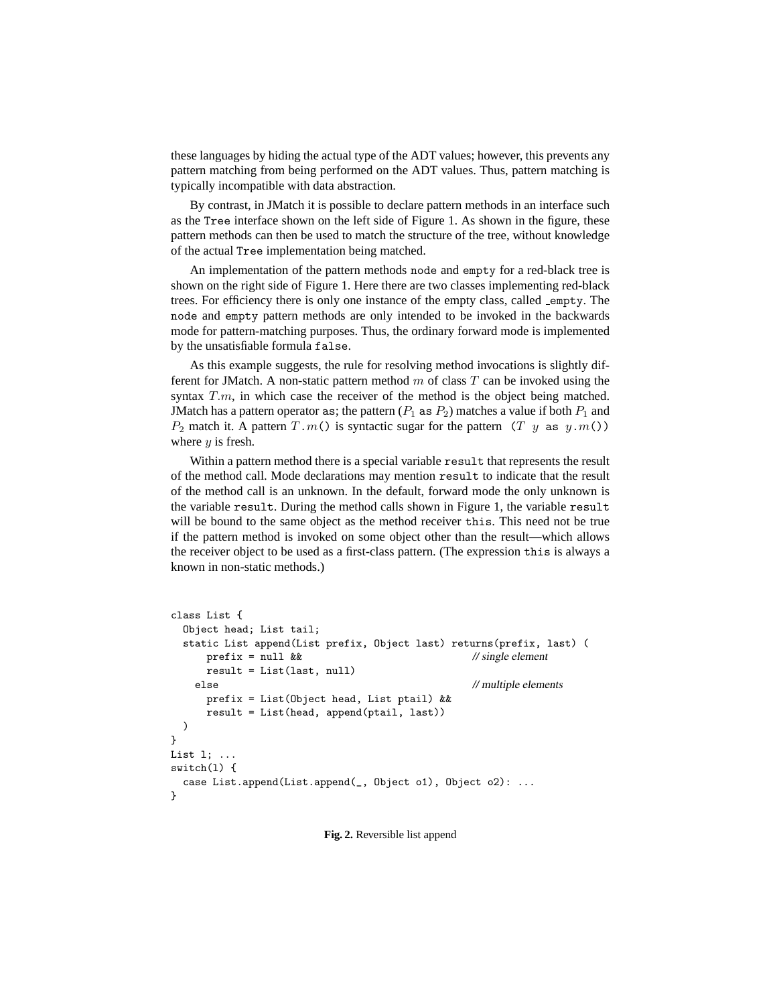these languages by hiding the actual type of the ADT values; however, this prevents any pattern matching from being performed on the ADT values. Thus, pattern matching is typically incompatible with data abstraction.

By contrast, in JMatch it is possible to declare pattern methods in an interface such as the Tree interface shown on the left side of Figure 1. As shown in the figure, these pattern methods can then be used to match the structure of the tree, without knowledge of the actual Tree implementation being matched.

An implementation of the pattern methods node and empty for a red-black tree is shown on the right side of Figure 1. Here there are two classes implementing red-black trees. For efficiency there is only one instance of the empty class, called \_empty. The node and empty pattern methods are only intended to be invoked in the backwards mode for pattern-matching purposes. Thus, the ordinary forward mode is implemented by the unsatisfiable formula false.

As this example suggests, the rule for resolving method invocations is slightly different for JMatch. A non-static pattern method  $m$  of class  $T$  can be invoked using the syntax  $T.m$ , in which case the receiver of the method is the object being matched. JMatch has a pattern operator as; the pattern  $(P_1$  as  $P_2)$  matches a value if both  $P_1$  and  $P_2$  match it. A pattern  $T \cdot m()$  is syntactic sugar for the pattern  $(T \, y \text{ as } y \cdot m())$ where  $y$  is fresh.

Within a pattern method there is a special variable result that represents the result of the method call. Mode declarations may mention result to indicate that the result of the method call is an unknown. In the default, forward mode the only unknown is the variable result. During the method calls shown in Figure 1, the variable result will be bound to the same object as the method receiver this. This need not be true if the pattern method is invoked on some object other than the result—which allows the receiver object to be used as a first-class pattern. (The expression this is always a known in non-static methods.)

```
class List {
 Object head; List tail;
 static List append(List prefix, Object last) returns(prefix, last) (
     prefix = null & // single element
     result = List(last, null)
   else // multiple elements
     prefix = List(Object head, List ptail) &&
     result = List(head, append(ptail, last))
 )
}
List l; ...
switch(l) {
 case List.append(List.append(_, Object o1), Object o2): ...
}
```
**Fig. 2.** Reversible list append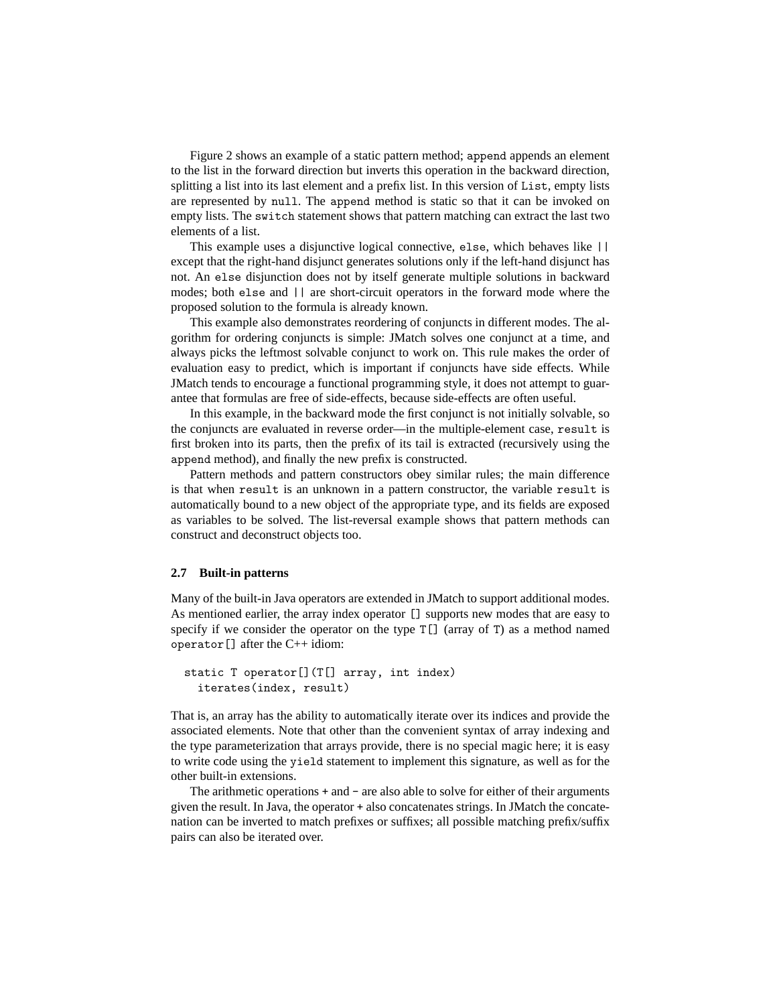Figure 2 shows an example of a static pattern method; append appends an element to the list in the forward direction but inverts this operation in the backward direction, splitting a list into its last element and a prefix list. In this version of List, empty lists are represented by null. The append method is static so that it can be invoked on empty lists. The switch statement shows that pattern matching can extract the last two elements of a list.

This example uses a disjunctive logical connective, else, which behaves like || except that the right-hand disjunct generates solutions only if the left-hand disjunct has not. An else disjunction does not by itself generate multiple solutions in backward modes; both else and || are short-circuit operators in the forward mode where the proposed solution to the formula is already known.

This example also demonstrates reordering of conjuncts in different modes. The algorithm for ordering conjuncts is simple: JMatch solves one conjunct at a time, and always picks the leftmost solvable conjunct to work on. This rule makes the order of evaluation easy to predict, which is important if conjuncts have side effects. While JMatch tends to encourage a functional programming style, it does not attempt to guarantee that formulas are free of side-effects, because side-effects are often useful.

In this example, in the backward mode the first conjunct is not initially solvable, so the conjuncts are evaluated in reverse order—in the multiple-element case, result is first broken into its parts, then the prefix of its tail is extracted (recursively using the append method), and finally the new prefix is constructed.

Pattern methods and pattern constructors obey similar rules; the main difference is that when result is an unknown in a pattern constructor, the variable result is automatically bound to a new object of the appropriate type, and its fields are exposed as variables to be solved. The list-reversal example shows that pattern methods can construct and deconstruct objects too.

### **2.7 Built-in patterns**

Many of the built-in Java operators are extended in JMatch to support additional modes. As mentioned earlier, the array index operator [] supports new modes that are easy to specify if we consider the operator on the type  $T$ [] (array of T) as a method named operator $[]$  after the  $C++$  idiom:

```
static T operator[](T[] array, int index)
  iterates(index, result)
```
That is, an array has the ability to automatically iterate over its indices and provide the associated elements. Note that other than the convenient syntax of array indexing and the type parameterization that arrays provide, there is no special magic here; it is easy to write code using the yield statement to implement this signature, as well as for the other built-in extensions.

The arithmetic operations  $+$  and  $-$  are also able to solve for either of their arguments given the result. In Java, the operator + also concatenates strings. In JMatch the concatenation can be inverted to match prefixes or suffixes; all possible matching prefix/suffix pairs can also be iterated over.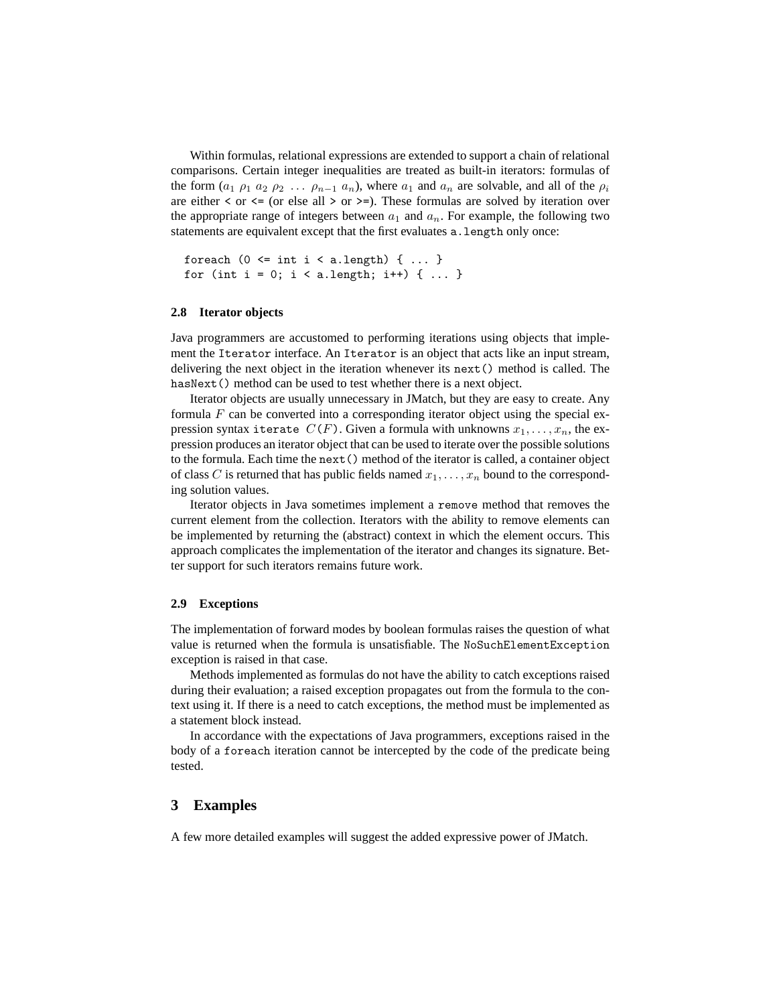Within formulas, relational expressions are extended to support a chain of relational comparisons. Certain integer inequalities are treated as built-in iterators: formulas of the form  $(a_1 \rho_1 a_2 \rho_2 \ldots \rho_{n-1} a_n)$ , where  $a_1$  and  $a_n$  are solvable, and all of the  $\rho_i$ are either  $\le$  or  $\le$  (or else all  $>$  or  $\ge$  =). These formulas are solved by iteration over the appropriate range of integers between  $a_1$  and  $a_n$ . For example, the following two statements are equivalent except that the first evaluates a. length only once:

```
foreach (0 \leq int i \leq a.length) \{ ... \}for (int i = 0; i < a.length; i++) \{ ... \}
```
### **2.8 Iterator objects**

Java programmers are accustomed to performing iterations using objects that implement the Iterator interface. An Iterator is an object that acts like an input stream, delivering the next object in the iteration whenever its next() method is called. The hasNext() method can be used to test whether there is a next object.

Iterator objects are usually unnecessary in JMatch, but they are easy to create. Any formula  $F$  can be converted into a corresponding iterator object using the special expression syntax iterate  $C(F)$ . Given a formula with unknowns  $x_1, \ldots, x_n$ , the expression produces an iterator object that can be used to iterate over the possible solutions to the formula. Each time the next() method of the iterator is called, a container object of class C is returned that has public fields named  $x_1, \ldots, x_n$  bound to the corresponding solution values.

Iterator objects in Java sometimes implement a remove method that removes the current element from the collection. Iterators with the ability to remove elements can be implemented by returning the (abstract) context in which the element occurs. This approach complicates the implementation of the iterator and changes its signature. Better support for such iterators remains future work.

#### **2.9 Exceptions**

The implementation of forward modes by boolean formulas raises the question of what value is returned when the formula is unsatisfiable. The NoSuchElementException exception is raised in that case.

Methods implemented as formulas do not have the ability to catch exceptions raised during their evaluation; a raised exception propagates out from the formula to the context using it. If there is a need to catch exceptions, the method must be implemented as a statement block instead.

In accordance with the expectations of Java programmers, exceptions raised in the body of a foreach iteration cannot be intercepted by the code of the predicate being tested.

# **3 Examples**

A few more detailed examples will suggest the added expressive power of JMatch.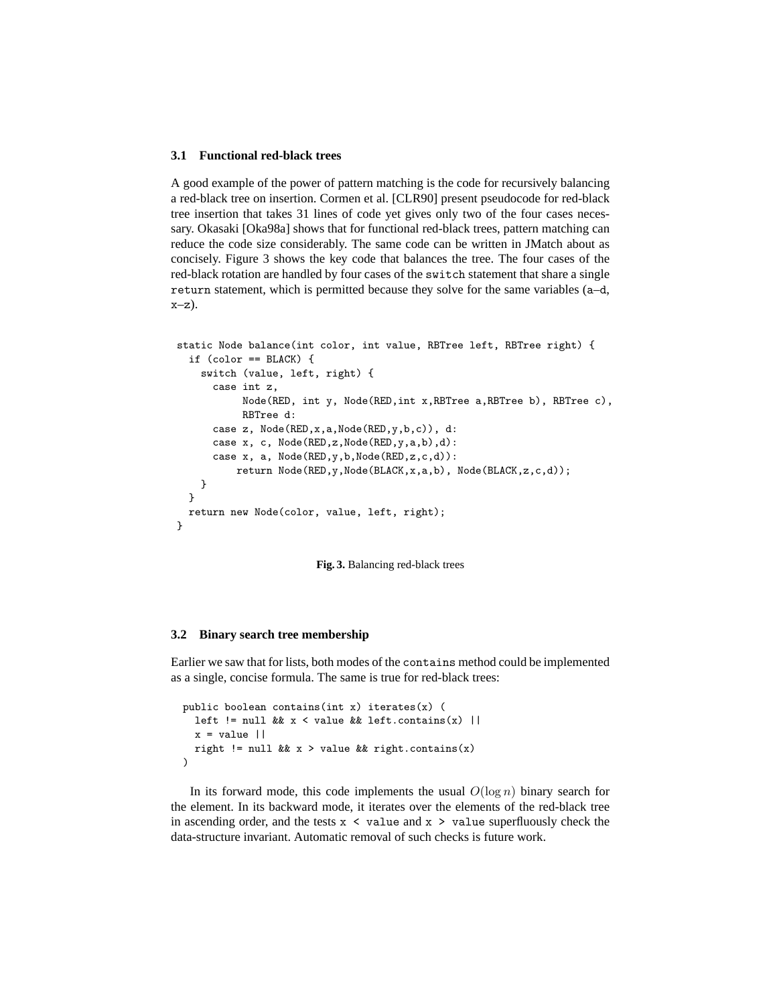#### **3.1 Functional red-black trees**

A good example of the power of pattern matching is the code for recursively balancing a red-black tree on insertion. Cormen et al. [CLR90] present pseudocode for red-black tree insertion that takes 31 lines of code yet gives only two of the four cases necessary. Okasaki [Oka98a] shows that for functional red-black trees, pattern matching can reduce the code size considerably. The same code can be written in JMatch about as concisely. Figure 3 shows the key code that balances the tree. The four cases of the red-black rotation are handled by four cases of the switch statement that share a single return statement, which is permitted because they solve for the same variables (a–d, x–z).

```
static Node balance(int color, int value, RBTree left, RBTree right) {
 if \text{(color == BLACK)} {
   switch (value, left, right) {
      case int z,
           Node(RED, int y, Node(RED,int x,RBTree a,RBTree b), RBTree c),
           RBTree d:
      case z, Node(RED,x,a,Node(RED,y,b,c)), d:
      case x, c, Node(RED,z,Node(RED,y,a,b),d):
      case x, a, Node(RED,y,b,Node(RED,z,c,d)):
          return Node(RED,y,Node(BLACK,x,a,b), Node(BLACK,z,c,d));
   }
 }
 return new Node(color, value, left, right);
}
```


### **3.2 Binary search tree membership**

Earlier we saw that for lists, both modes of the contains method could be implemented as a single, concise formula. The same is true for red-black trees:

```
public boolean contains(int x) iterates(x) (
  left != null && x < value && left.contains(x) ||
  x = value ||
  right != null && x > value && right.contains(x)
)
```
In its forward mode, this code implements the usual  $O(\log n)$  binary search for the element. In its backward mode, it iterates over the elements of the red-black tree in ascending order, and the tests  $x <$  value and  $x >$  value superfluously check the data-structure invariant. Automatic removal of such checks is future work.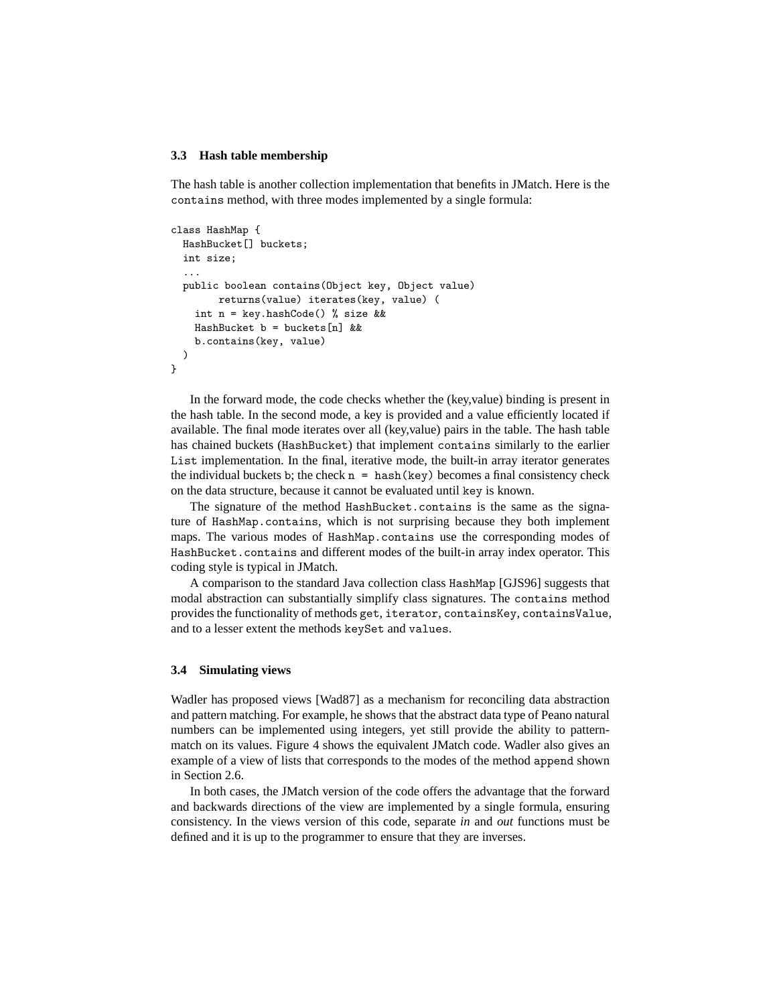#### **3.3 Hash table membership**

The hash table is another collection implementation that benefits in JMatch. Here is the contains method, with three modes implemented by a single formula:

```
class HashMap {
 HashBucket[] buckets;
  int size;
  ...
 public boolean contains(Object key, Object value)
        returns(value) iterates(key, value) (
    int n = key.hashCode() % size &&
    HashBucket b = \text{buckets}[n] &&
    b.contains(key, value)
 )
}
```
In the forward mode, the code checks whether the (key,value) binding is present in the hash table. In the second mode, a key is provided and a value efficiently located if available. The final mode iterates over all (key,value) pairs in the table. The hash table has chained buckets (HashBucket) that implement contains similarly to the earlier List implementation. In the final, iterative mode, the built-in array iterator generates the individual buckets b; the check  $n =$  hash(key) becomes a final consistency check on the data structure, because it cannot be evaluated until key is known.

The signature of the method HashBucket.contains is the same as the signature of HashMap.contains, which is not surprising because they both implement maps. The various modes of HashMap.contains use the corresponding modes of HashBucket.contains and different modes of the built-in array index operator. This coding style is typical in JMatch.

A comparison to the standard Java collection class HashMap [GJS96] suggests that modal abstraction can substantially simplify class signatures. The contains method provides the functionality of methods get, iterator, containsKey, containsValue, and to a lesser extent the methods keySet and values.

### **3.4 Simulating views**

Wadler has proposed views [Wad87] as a mechanism for reconciling data abstraction and pattern matching. For example, he shows that the abstract data type of Peano natural numbers can be implemented using integers, yet still provide the ability to patternmatch on its values. Figure 4 shows the equivalent JMatch code. Wadler also gives an example of a view of lists that corresponds to the modes of the method append shown in Section 2.6.

In both cases, the JMatch version of the code offers the advantage that the forward and backwards directions of the view are implemented by a single formula, ensuring consistency. In the views version of this code, separate *in* and *out* functions must be defined and it is up to the programmer to ensure that they are inverses.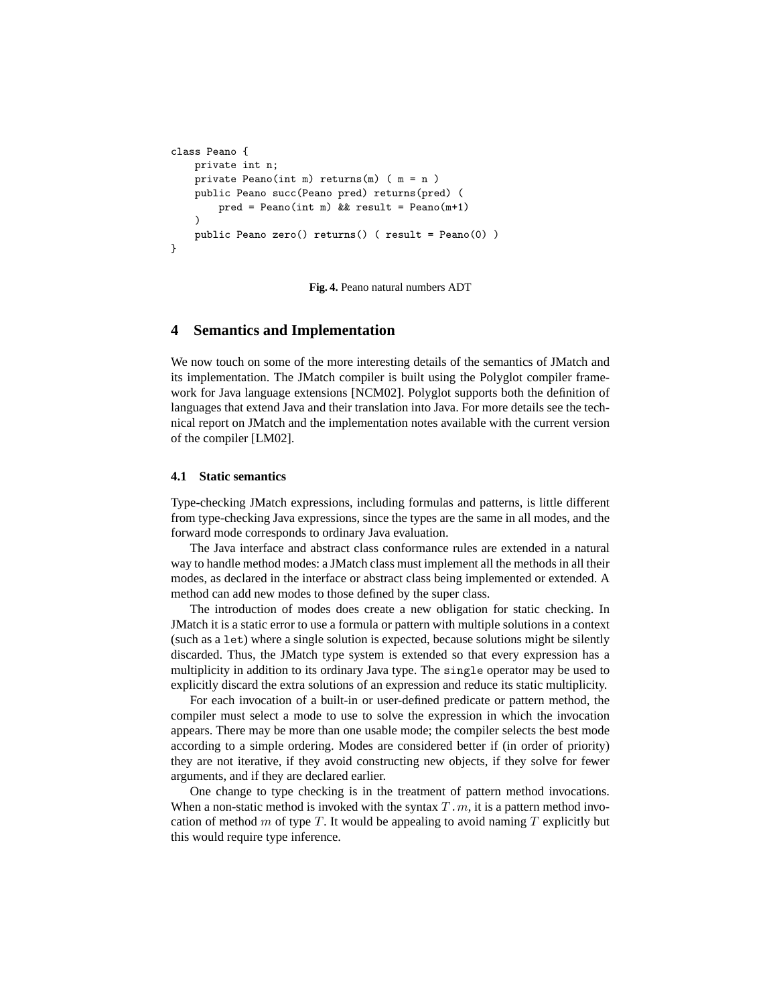```
class Peano {
    private int n;
    private Peano(int m) returns(m) ( m = n )
    public Peano succ(Peano pred) returns(pred) (
        pred = Peano(int m) && result = Peano(m+1)
    \lambdapublic Peano zero() returns() ( result = Peano(0) )
}
```
**Fig. 4.** Peano natural numbers ADT

# **4 Semantics and Implementation**

We now touch on some of the more interesting details of the semantics of JMatch and its implementation. The JMatch compiler is built using the Polyglot compiler framework for Java language extensions [NCM02]. Polyglot supports both the definition of languages that extend Java and their translation into Java. For more details see the technical report on JMatch and the implementation notes available with the current version of the compiler [LM02].

### **4.1 Static semantics**

Type-checking JMatch expressions, including formulas and patterns, is little different from type-checking Java expressions, since the types are the same in all modes, and the forward mode corresponds to ordinary Java evaluation.

The Java interface and abstract class conformance rules are extended in a natural way to handle method modes: a JMatch class must implement all the methods in all their modes, as declared in the interface or abstract class being implemented or extended. A method can add new modes to those defined by the super class.

The introduction of modes does create a new obligation for static checking. In JMatch it is a static error to use a formula or pattern with multiple solutions in a context (such as a let) where a single solution is expected, because solutions might be silently discarded. Thus, the JMatch type system is extended so that every expression has a multiplicity in addition to its ordinary Java type. The single operator may be used to explicitly discard the extra solutions of an expression and reduce its static multiplicity.

For each invocation of a built-in or user-defined predicate or pattern method, the compiler must select a mode to use to solve the expression in which the invocation appears. There may be more than one usable mode; the compiler selects the best mode according to a simple ordering. Modes are considered better if (in order of priority) they are not iterative, if they avoid constructing new objects, if they solve for fewer arguments, and if they are declared earlier.

One change to type checking is in the treatment of pattern method invocations. When a non-static method is invoked with the syntax  $T \cdot m$ , it is a pattern method invocation of method m of type  $T$ . It would be appealing to avoid naming  $T$  explicitly but this would require type inference.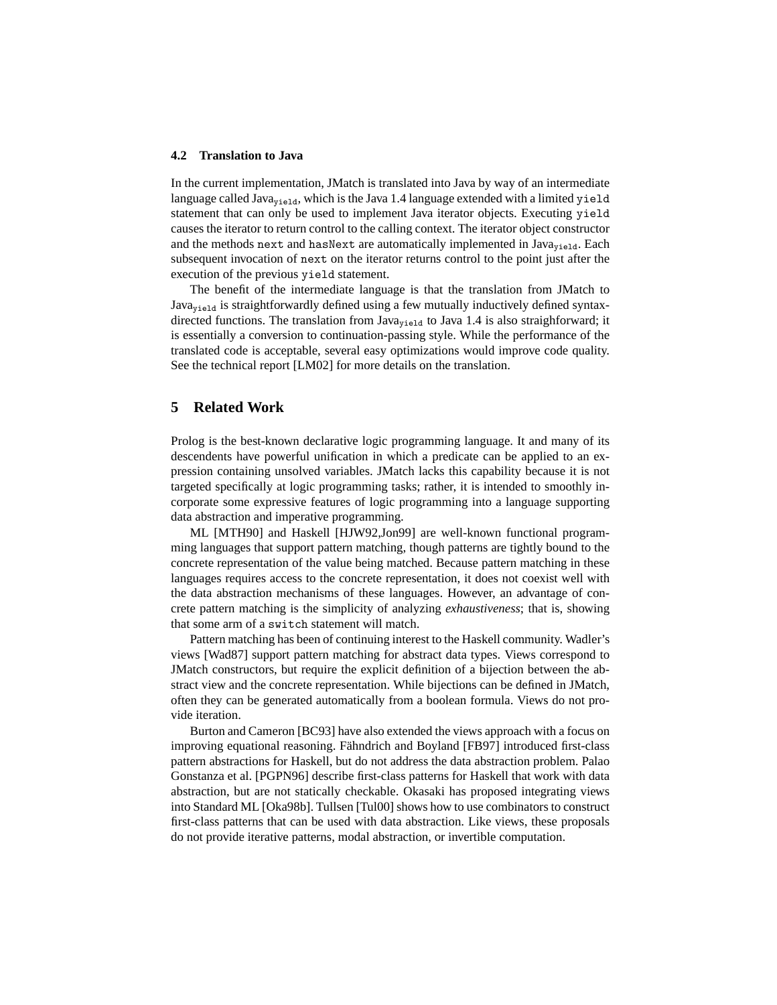#### **4.2 Translation to Java**

In the current implementation, JMatch is translated into Java by way of an intermediate language called Java<sub>vield</sub>, which is the Java 1.4 language extended with a limited yield statement that can only be used to implement Java iterator objects. Executing yield causes the iterator to return control to the calling context. The iterator object constructor and the methods next and hasNext are automatically implemented in Java $_{\text{yield}}$ . Each subsequent invocation of next on the iterator returns control to the point just after the execution of the previous yield statement.

The benefit of the intermediate language is that the translation from JMatch to Java<sub>yield</sub> is straightforwardly defined using a few mutually inductively defined syntaxdirected functions. The translation from  $Java_{yield}$  to Java 1.4 is also straighforward; it is essentially a conversion to continuation-passing style. While the performance of the translated code is acceptable, several easy optimizations would improve code quality. See the technical report [LM02] for more details on the translation.

# **5 Related Work**

Prolog is the best-known declarative logic programming language. It and many of its descendents have powerful unification in which a predicate can be applied to an expression containing unsolved variables. JMatch lacks this capability because it is not targeted specifically at logic programming tasks; rather, it is intended to smoothly incorporate some expressive features of logic programming into a language supporting data abstraction and imperative programming.

ML [MTH90] and Haskell [HJW92,Jon99] are well-known functional programming languages that support pattern matching, though patterns are tightly bound to the concrete representation of the value being matched. Because pattern matching in these languages requires access to the concrete representation, it does not coexist well with the data abstraction mechanisms of these languages. However, an advantage of concrete pattern matching is the simplicity of analyzing *exhaustiveness*; that is, showing that some arm of a switch statement will match.

Pattern matching has been of continuing interest to the Haskell community. Wadler's views [Wad87] support pattern matching for abstract data types. Views correspond to JMatch constructors, but require the explicit definition of a bijection between the abstract view and the concrete representation. While bijections can be defined in JMatch, often they can be generated automatically from a boolean formula. Views do not provide iteration.

Burton and Cameron [BC93] have also extended the views approach with a focus on improving equational reasoning. Fähndrich and Boyland [FB97] introduced first-class pattern abstractions for Haskell, but do not address the data abstraction problem. Palao Gonstanza et al. [PGPN96] describe first-class patterns for Haskell that work with data abstraction, but are not statically checkable. Okasaki has proposed integrating views into Standard ML [Oka98b]. Tullsen [Tul00] shows how to use combinators to construct first-class patterns that can be used with data abstraction. Like views, these proposals do not provide iterative patterns, modal abstraction, or invertible computation.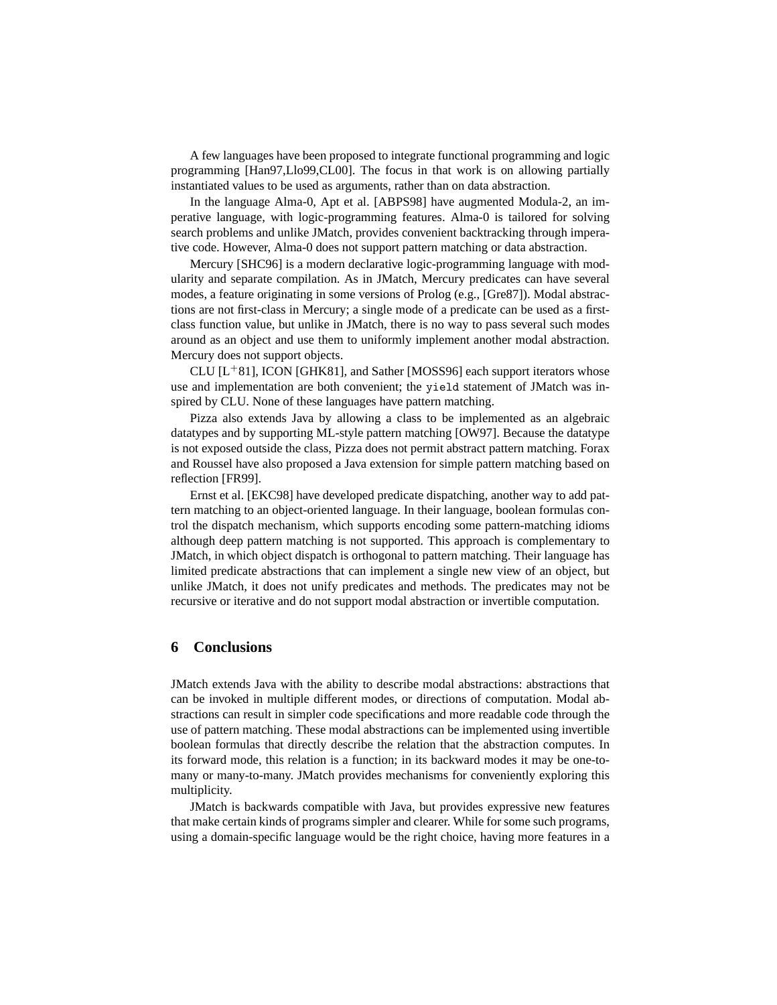A few languages have been proposed to integrate functional programming and logic programming [Han97,Llo99,CL00]. The focus in that work is on allowing partially instantiated values to be used as arguments, rather than on data abstraction.

In the language Alma-0, Apt et al. [ABPS98] have augmented Modula-2, an imperative language, with logic-programming features. Alma-0 is tailored for solving search problems and unlike JMatch, provides convenient backtracking through imperative code. However, Alma-0 does not support pattern matching or data abstraction.

Mercury [SHC96] is a modern declarative logic-programming language with modularity and separate compilation. As in JMatch, Mercury predicates can have several modes, a feature originating in some versions of Prolog (e.g., [Gre87]). Modal abstractions are not first-class in Mercury; a single mode of a predicate can be used as a firstclass function value, but unlike in JMatch, there is no way to pass several such modes around as an object and use them to uniformly implement another modal abstraction. Mercury does not support objects.

CLU  $[L+81]$ , ICON [GHK81], and Sather [MOSS96] each support iterators whose use and implementation are both convenient; the yield statement of JMatch was inspired by CLU. None of these languages have pattern matching.

Pizza also extends Java by allowing a class to be implemented as an algebraic datatypes and by supporting ML-style pattern matching [OW97]. Because the datatype is not exposed outside the class, Pizza does not permit abstract pattern matching. Forax and Roussel have also proposed a Java extension for simple pattern matching based on reflection [FR99].

Ernst et al. [EKC98] have developed predicate dispatching, another way to add pattern matching to an object-oriented language. In their language, boolean formulas control the dispatch mechanism, which supports encoding some pattern-matching idioms although deep pattern matching is not supported. This approach is complementary to JMatch, in which object dispatch is orthogonal to pattern matching. Their language has limited predicate abstractions that can implement a single new view of an object, but unlike JMatch, it does not unify predicates and methods. The predicates may not be recursive or iterative and do not support modal abstraction or invertible computation.

# **6 Conclusions**

JMatch extends Java with the ability to describe modal abstractions: abstractions that can be invoked in multiple different modes, or directions of computation. Modal abstractions can result in simpler code specifications and more readable code through the use of pattern matching. These modal abstractions can be implemented using invertible boolean formulas that directly describe the relation that the abstraction computes. In its forward mode, this relation is a function; in its backward modes it may be one-tomany or many-to-many. JMatch provides mechanisms for conveniently exploring this multiplicity.

JMatch is backwards compatible with Java, but provides expressive new features that make certain kinds of programs simpler and clearer. While for some such programs, using a domain-specific language would be the right choice, having more features in a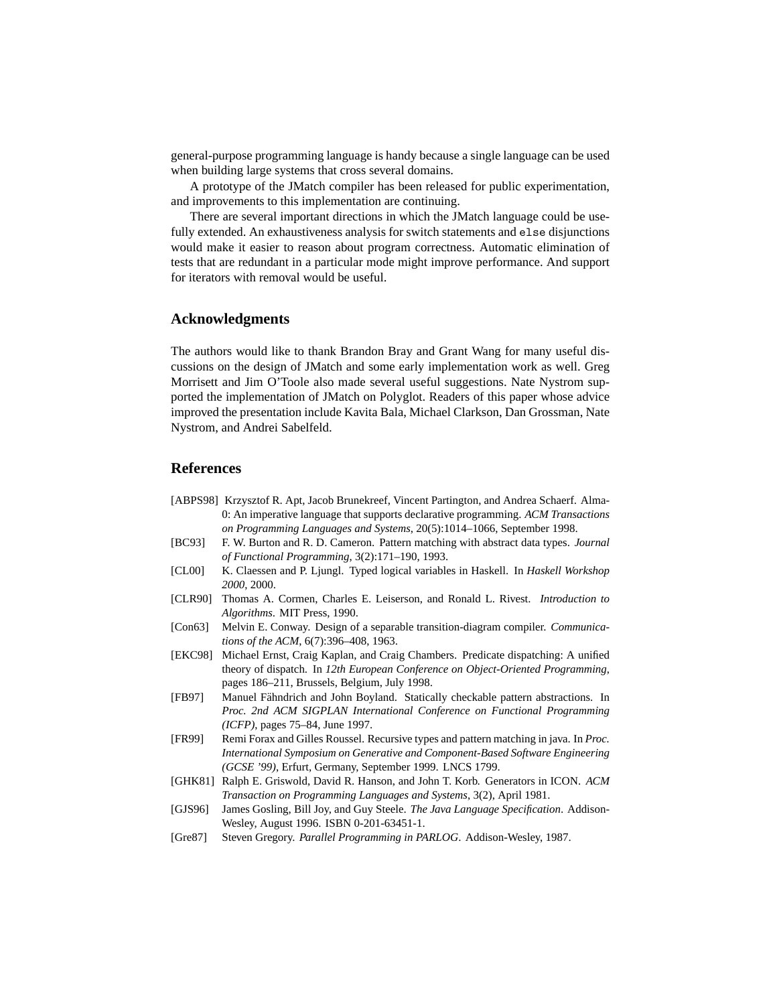general-purpose programming language is handy because a single language can be used when building large systems that cross several domains.

A prototype of the JMatch compiler has been released for public experimentation, and improvements to this implementation are continuing.

There are several important directions in which the JMatch language could be usefully extended. An exhaustiveness analysis for switch statements and else disjunctions would make it easier to reason about program correctness. Automatic elimination of tests that are redundant in a particular mode might improve performance. And support for iterators with removal would be useful.

# **Acknowledgments**

The authors would like to thank Brandon Bray and Grant Wang for many useful discussions on the design of JMatch and some early implementation work as well. Greg Morrisett and Jim O'Toole also made several useful suggestions. Nate Nystrom supported the implementation of JMatch on Polyglot. Readers of this paper whose advice improved the presentation include Kavita Bala, Michael Clarkson, Dan Grossman, Nate Nystrom, and Andrei Sabelfeld.

# **References**

- [ABPS98] Krzysztof R. Apt, Jacob Brunekreef, Vincent Partington, and Andrea Schaerf. Alma-0: An imperative language that supports declarative programming. *ACM Transactions on Programming Languages and Systems*, 20(5):1014–1066, September 1998.
- [BC93] F. W. Burton and R. D. Cameron. Pattern matching with abstract data types. *Journal of Functional Programming*, 3(2):171–190, 1993.
- [CL00] K. Claessen and P. Ljungl. Typed logical variables in Haskell. In *Haskell Workshop 2000*, 2000.
- [CLR90] Thomas A. Cormen, Charles E. Leiserson, and Ronald L. Rivest. *Introduction to Algorithms*. MIT Press, 1990.
- [Con63] Melvin E. Conway. Design of a separable transition-diagram compiler. *Communications of the ACM*, 6(7):396–408, 1963.
- [EKC98] Michael Ernst, Craig Kaplan, and Craig Chambers. Predicate dispatching: A unified theory of dispatch. In *12th European Conference on Object-Oriented Programming*, pages 186–211, Brussels, Belgium, July 1998.
- [FB97] Manuel Fähndrich and John Boyland. Statically checkable pattern abstractions. In *Proc. 2nd ACM SIGPLAN International Conference on Functional Programming (ICFP)*, pages 75–84, June 1997.
- [FR99] Remi Forax and Gilles Roussel. Recursive types and pattern matching in java. In *Proc. International Symposium on Generative and Component-Based Software Engineering (GCSE '99)*, Erfurt, Germany, September 1999. LNCS 1799.
- [GHK81] Ralph E. Griswold, David R. Hanson, and John T. Korb. Generators in ICON. *ACM Transaction on Programming Languages and Systems*, 3(2), April 1981.
- [GJS96] James Gosling, Bill Joy, and Guy Steele. *The Java Language Specification*. Addison-Wesley, August 1996. ISBN 0-201-63451-1.
- [Gre87] Steven Gregory. *Parallel Programming in PARLOG*. Addison-Wesley, 1987.